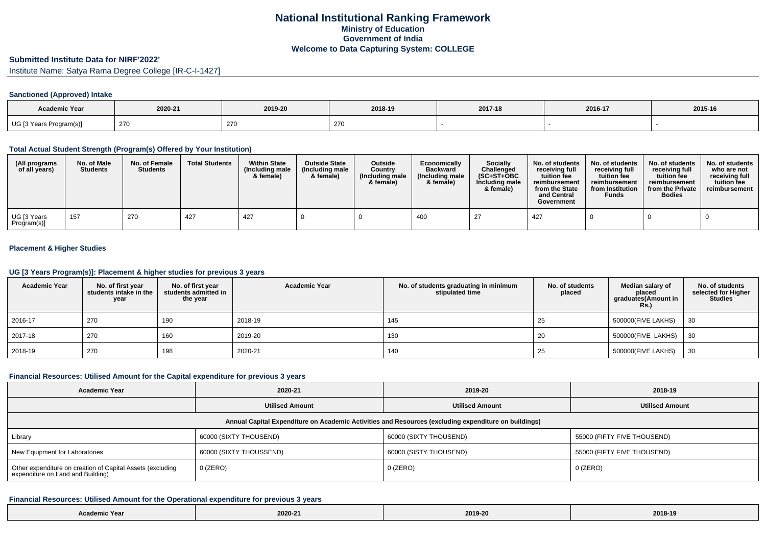## **Submitted Institute Data for NIRF'2022'**

Institute Name: Satya Rama Degree College [IR-C-I-1427]

#### **Sanctioned (Approved) Intake**

| <b>Academic Year</b>    | 2020-21    | 2019-20 | 2018-19 | 2017-18 | 2016-17 | 2015-16 |
|-------------------------|------------|---------|---------|---------|---------|---------|
| UG [3 Years Program(s)] | <b>270</b> | 270     | 270     |         |         |         |

## **Total Actual Student Strength (Program(s) Offered by Your Institution)**

| (All programs<br>of all years) | No. of Male<br><b>Students</b> | No. of Female<br><b>Students</b> | <b>Total Students</b> | <b>Within State</b><br>(Including male<br>& female) | <b>Outside State</b><br>(Including male<br>& female) | <b>Outside</b><br>Country<br>(Including male<br>& female) | Economically<br><b>Backward</b><br>(Including male)<br>& female) | <b>Socially</b><br>Challenged<br>$(SC+ST+OBC)$<br>Including male<br>& female) | No. of students<br>receivina full<br>tuition fee<br>reimbursement<br>from the State<br>and Central<br>Government | No. of students<br>receiving full<br>tuition fee<br>reimbursement<br>from Institution<br><b>Funds</b> | No. of students<br>receiving full<br>tuition fee<br>reimbursement<br>from the Private<br><b>Bodies</b> | No. of students<br>who are not<br>receiving full<br>tuition fee<br>reimbursement |
|--------------------------------|--------------------------------|----------------------------------|-----------------------|-----------------------------------------------------|------------------------------------------------------|-----------------------------------------------------------|------------------------------------------------------------------|-------------------------------------------------------------------------------|------------------------------------------------------------------------------------------------------------------|-------------------------------------------------------------------------------------------------------|--------------------------------------------------------------------------------------------------------|----------------------------------------------------------------------------------|
| UG [3 Years<br>Program(s)]     | . 157                          | 270                              | 427                   | 427                                                 |                                                      |                                                           | 400                                                              | -27                                                                           | 427                                                                                                              |                                                                                                       |                                                                                                        |                                                                                  |

# **Placement & Higher Studies**

### **UG [3 Years Program(s)]: Placement & higher studies for previous 3 years**

| <b>Academic Year</b> | No. of first year<br>students intake in the<br>year | No. of first year<br>students admitted in<br>the year | <b>Academic Year</b> | No. of students graduating in minimum<br>stipulated time | No. of students<br>placed | Median salary of<br>placed<br>graduates(Amount in<br><b>Rs.)</b> | No. of students<br>selected for Higher<br><b>Studies</b> |
|----------------------|-----------------------------------------------------|-------------------------------------------------------|----------------------|----------------------------------------------------------|---------------------------|------------------------------------------------------------------|----------------------------------------------------------|
| 2016-17              | 270                                                 | 190                                                   | 2018-19              | 145                                                      | 25                        | 500000(FIVE LAKHS)                                               | 30                                                       |
| 2017-18              | 270                                                 | 160                                                   | 2019-20              | 130                                                      | -20                       | 500000(FIVE LAKHS)                                               | 30                                                       |
| 2018-19              | 270                                                 | 198                                                   | 2020-21              | 140                                                      | 25                        | 500000(FIVE LAKHS)                                               | 30                                                       |

#### **Financial Resources: Utilised Amount for the Capital expenditure for previous 3 years**

| <b>Academic Year</b>                                                                                 | 2020-21                 | 2019-20                | 2018-19                     |  |  |  |  |  |  |
|------------------------------------------------------------------------------------------------------|-------------------------|------------------------|-----------------------------|--|--|--|--|--|--|
|                                                                                                      | <b>Utilised Amount</b>  | <b>Utilised Amount</b> | <b>Utilised Amount</b>      |  |  |  |  |  |  |
| Annual Capital Expenditure on Academic Activities and Resources (excluding expenditure on buildings) |                         |                        |                             |  |  |  |  |  |  |
| Library                                                                                              | 60000 (SIXTY THOUSEND)  | 60000 (SIXTY THOUSEND) | 55000 (FIFTY FIVE THOUSEND) |  |  |  |  |  |  |
| New Equipment for Laboratories                                                                       | 60000 (SIXTY THOUSSEND) | 60000 (SISTY THOUSEND) | 55000 (FIFTY FIVE THOUSEND) |  |  |  |  |  |  |
| Other expenditure on creation of Capital Assets (excluding<br>expenditure on Land and Building)      | 0 (ZERO)                | $0$ (ZERO)             | $0$ (ZERO)                  |  |  |  |  |  |  |

#### **Financial Resources: Utilised Amount for the Operational expenditure for previous 3 years**

| Academic Year<br>$\cdots \cdots \cdots \cdots \cdots \cdots \cdots \cdots$ | 2020-21 | 2019-20 | 2018-19<br>the contract of the contract of the |
|----------------------------------------------------------------------------|---------|---------|------------------------------------------------|
|----------------------------------------------------------------------------|---------|---------|------------------------------------------------|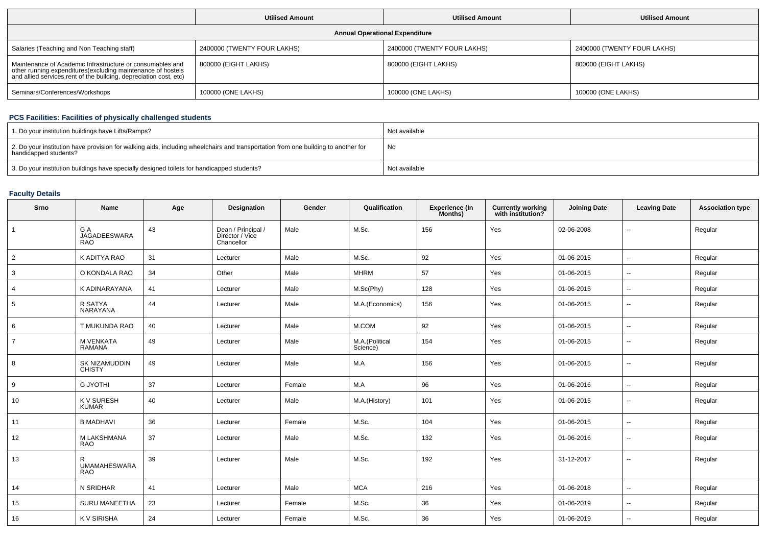|                                                                                                                                                                                                | <b>Utilised Amount</b>      | <b>Utilised Amount</b>      | <b>Utilised Amount</b>      |  |  |  |  |  |  |
|------------------------------------------------------------------------------------------------------------------------------------------------------------------------------------------------|-----------------------------|-----------------------------|-----------------------------|--|--|--|--|--|--|
| <b>Annual Operational Expenditure</b>                                                                                                                                                          |                             |                             |                             |  |  |  |  |  |  |
| Salaries (Teaching and Non Teaching staff)                                                                                                                                                     | 2400000 (TWENTY FOUR LAKHS) | 2400000 (TWENTY FOUR LAKHS) | 2400000 (TWENTY FOUR LAKHS) |  |  |  |  |  |  |
| Maintenance of Academic Infrastructure or consumables and<br>other running expenditures(excluding maintenance of hostels<br>and allied services, rent of the building, depreciation cost, etc) | 800000 (EIGHT LAKHS)        | 800000 (EIGHT LAKHS)        | 800000 (EIGHT LAKHS)        |  |  |  |  |  |  |
| Seminars/Conferences/Workshops                                                                                                                                                                 | 100000 (ONE LAKHS)          | 100000 (ONE LAKHS)          | 100000 (ONE LAKHS)          |  |  |  |  |  |  |

# **PCS Facilities: Facilities of physically challenged students**

| 1. Do your institution buildings have Lifts/Ramps?                                                                                                         | Not available |
|------------------------------------------------------------------------------------------------------------------------------------------------------------|---------------|
| 2. Do your institution have provision for walking aids, including wheelchairs and transportation from one building to another for<br>handicapped students? | No            |
| 3. Do your institution buildings have specially designed toilets for handicapped students?                                                                 | Not available |

# **Faculty Details**

| Srno           | Name                                     | Age | Designation                                         | Gender | Qualification              | <b>Experience (In</b><br>Months) | <b>Currently working</b><br>with institution? | <b>Joining Date</b> | <b>Leaving Date</b>      | <b>Association type</b> |
|----------------|------------------------------------------|-----|-----------------------------------------------------|--------|----------------------------|----------------------------------|-----------------------------------------------|---------------------|--------------------------|-------------------------|
|                | G A<br><b>JAGADEESWARA</b><br><b>RAO</b> | 43  | Dean / Principal /<br>Director / Vice<br>Chancellor | Male   | M.Sc.                      | 156                              | Yes                                           | 02-06-2008          | --                       | Regular                 |
| $\overline{2}$ | K ADITYA RAO                             | 31  | Lecturer                                            | Male   | M.Sc.                      | 92                               | Yes                                           | 01-06-2015          | $\overline{a}$           | Regular                 |
| 3              | O KONDALA RAO                            | 34  | Other                                               | Male   | <b>MHRM</b>                | 57                               | Yes                                           | 01-06-2015          | $\sim$                   | Regular                 |
| $\overline{4}$ | K ADINARAYANA                            | 41  | Lecturer                                            | Male   | M.Sc(Phy)                  | 128                              | Yes                                           | 01-06-2015          | $\overline{a}$           | Regular                 |
| 5              | R SATYA<br>NARAYANA                      | 44  | Lecturer                                            | Male   | M.A.(Economics)            | 156                              | Yes                                           | 01-06-2015          | --                       | Regular                 |
| 6              | T MUKUNDA RAO                            | 40  | Lecturer                                            | Male   | M.COM                      | 92                               | Yes                                           | 01-06-2015          | ۰.                       | Regular                 |
| $\overline{7}$ | M VENKATA<br><b>RAMANA</b>               | 49  | Lecturer                                            | Male   | M.A.(Political<br>Science) | 154                              | Yes                                           | 01-06-2015          | $\overline{\phantom{a}}$ | Regular                 |
| 8              | SK NIZAMUDDIN<br><b>CHISTY</b>           | 49  | Lecturer                                            | Male   | M.A                        | 156                              | Yes                                           | 01-06-2015          | $\sim$                   | Regular                 |
| 9              | <b>G JYOTHI</b>                          | 37  | Lecturer                                            | Female | M.A                        | 96                               | Yes                                           | 01-06-2016          | $\overline{\phantom{a}}$ | Regular                 |
| 10             | <b>KV SURESH</b><br><b>KUMAR</b>         | 40  | Lecturer                                            | Male   | M.A.(History)              | 101                              | Yes                                           | 01-06-2015          | $\overline{\phantom{a}}$ | Regular                 |
| 11             | <b>B MADHAVI</b>                         | 36  | Lecturer                                            | Female | M.Sc.                      | 104                              | Yes                                           | 01-06-2015          | $\sim$                   | Regular                 |
| 12             | M LAKSHMANA<br><b>RAO</b>                | 37  | Lecturer                                            | Male   | M.Sc.                      | 132                              | Yes                                           | 01-06-2016          | Ξ.                       | Regular                 |
| 13             | R<br><b>UMAMAHESWARA</b><br><b>RAO</b>   | 39  | Lecturer                                            | Male   | M.Sc.                      | 192                              | Yes                                           | 31-12-2017          | ٠.                       | Regular                 |
| 14             | N SRIDHAR                                | 41  | Lecturer                                            | Male   | <b>MCA</b>                 | 216                              | Yes                                           | 01-06-2018          | --                       | Regular                 |
| 15             | SURU MANEETHA                            | 23  | Lecturer                                            | Female | M.Sc.                      | 36                               | Yes                                           | 01-06-2019          | --                       | Regular                 |
| 16             | K V SIRISHA                              | 24  | Lecturer                                            | Female | M.Sc.                      | 36                               | Yes                                           | 01-06-2019          | $\overline{\phantom{a}}$ | Regular                 |